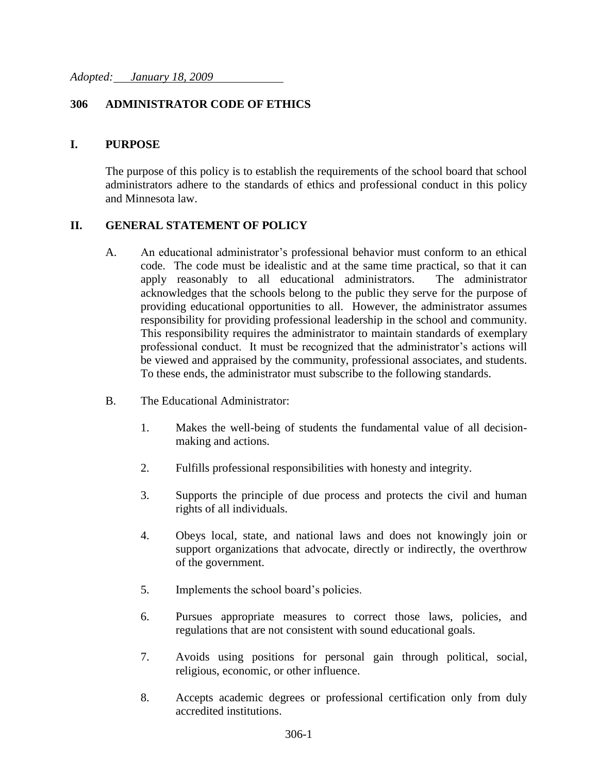## **306 ADMINISTRATOR CODE OF ETHICS**

## **I. PURPOSE**

The purpose of this policy is to establish the requirements of the school board that school administrators adhere to the standards of ethics and professional conduct in this policy and Minnesota law.

## **II. GENERAL STATEMENT OF POLICY**

- A. An educational administrator's professional behavior must conform to an ethical code. The code must be idealistic and at the same time practical, so that it can apply reasonably to all educational administrators. The administrator acknowledges that the schools belong to the public they serve for the purpose of providing educational opportunities to all. However, the administrator assumes responsibility for providing professional leadership in the school and community. This responsibility requires the administrator to maintain standards of exemplary professional conduct. It must be recognized that the administrator's actions will be viewed and appraised by the community, professional associates, and students. To these ends, the administrator must subscribe to the following standards.
- B. The Educational Administrator:
	- 1. Makes the well-being of students the fundamental value of all decisionmaking and actions.
	- 2. Fulfills professional responsibilities with honesty and integrity.
	- 3. Supports the principle of due process and protects the civil and human rights of all individuals.
	- 4. Obeys local, state, and national laws and does not knowingly join or support organizations that advocate, directly or indirectly, the overthrow of the government.
	- 5. Implements the school board's policies.
	- 6. Pursues appropriate measures to correct those laws, policies, and regulations that are not consistent with sound educational goals.
	- 7. Avoids using positions for personal gain through political, social, religious, economic, or other influence.
	- 8. Accepts academic degrees or professional certification only from duly accredited institutions.